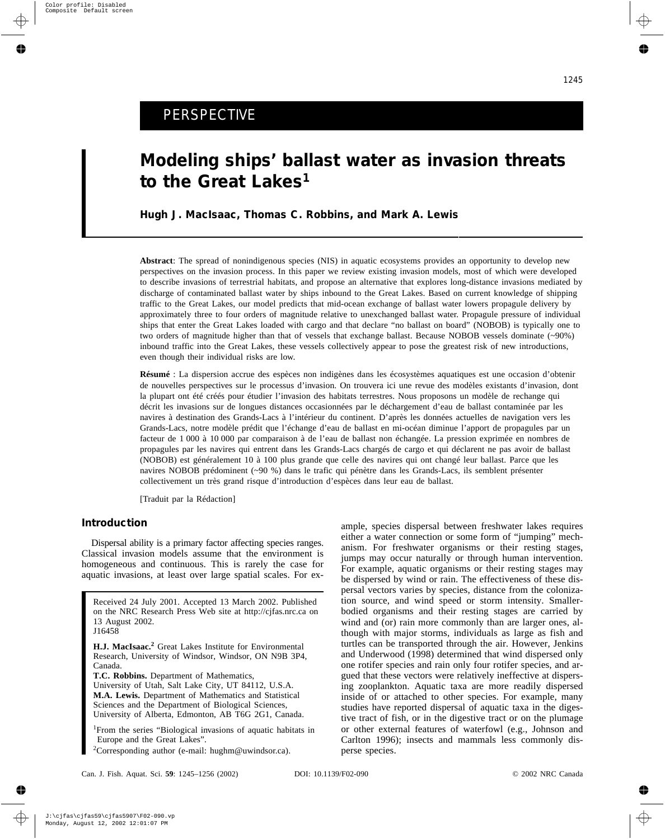# PERSPECTIVE

# **Modeling ships' ballast water as invasion threats to the Great Lakes1**

**Hugh J. MacIsaac, Thomas C. Robbins, and Mark A. Lewis**

**Abstract**: The spread of nonindigenous species (NIS) in aquatic ecosystems provides an opportunity to develop new perspectives on the invasion process. In this paper we review existing invasion models, most of which were developed to describe invasions of terrestrial habitats, and propose an alternative that explores long-distance invasions mediated by discharge of contaminated ballast water by ships inbound to the Great Lakes. Based on current knowledge of shipping traffic to the Great Lakes, our model predicts that mid-ocean exchange of ballast water lowers propagule delivery by approximately three to four orders of magnitude relative to unexchanged ballast water. Propagule pressure of individual ships that enter the Great Lakes loaded with cargo and that declare "no ballast on board" (NOBOB) is typically one to two orders of magnitude higher than that of vessels that exchange ballast. Because NOBOB vessels dominate (~90%) inbound traffic into the Great Lakes, these vessels collectively appear to pose the greatest risk of new introductions, even though their individual risks are low.

**Résumé** : La dispersion accrue des espèces non indigènes dans les écosystèmes aquatiques est une occasion d'obtenir de nouvelles perspectives sur le processus d'invasion. On trouvera ici une revue des modèles existants d'invasion, dont la plupart ont été créés pour étudier l'invasion des habitats terrestres. Nous proposons un modèle de rechange qui décrit les invasions sur de longues distances occasionnées par le déchargement d'eau de ballast contaminée par les navires à destination des Grands-Lacs à l'intérieur du continent. D'après les données actuelles de navigation vers les Grands-Lacs, notre modèle prédit que l'échange d'eau de ballast en mi-océan diminue l'apport de propagules par un facteur de 1 000 à 10 000 par comparaison à de l'eau de ballast non échangée. La pression exprimée en nombres de propagules par les navires qui entrent dans les Grands-Lacs chargés de cargo et qui déclarent ne pas avoir de ballast (NOBOB) est généralement 10 à 100 plus grande que celle des navires qui ont changé leur ballast. Parce que les navires NOBOB prédominent (~90 %) dans le trafic qui pénètre dans les Grands-Lacs, ils semblent présenter collectivement un très grand risque d'introduction d'espèces dans leur eau de ballast.

[Traduit par la Rédaction]

# **Introduction**

Dispersal ability is a primary factor affecting species ranges. Classical invasion models assume that the environment is homogeneous and continuous. This is rarely the case for aquatic invasions, at least over large spatial scales. For ex-

Received 24 July 2001. Accepted 13 March 2002. Published on the NRC Research Press Web site at http://cjfas.nrc.ca on 13 August 2002. J16458

**H.J. MacIsaac.<sup>2</sup>** Great Lakes Institute for Environmental Research, University of Windsor, Windsor, ON N9B 3P4, Canada.

**T.C. Robbins.** Department of Mathematics,

University of Utah, Salt Lake City, UT 84112, U.S.A. **M.A. Lewis.** Department of Mathematics and Statistical Sciences and the Department of Biological Sciences, University of Alberta, Edmonton, AB T6G 2G1, Canada.

<sup>1</sup>From the series "Biological invasions of aquatic habitats in Europe and the Great Lakes".

<sup>2</sup>Corresponding author (e-mail: hughm@uwindsor.ca).

ample, species dispersal between freshwater lakes requires either a water connection or some form of "jumping" mechanism. For freshwater organisms or their resting stages, jumps may occur naturally or through human intervention. For example, aquatic organisms or their resting stages may be dispersed by wind or rain. The effectiveness of these dispersal vectors varies by species, distance from the colonization source, and wind speed or storm intensity. Smallerbodied organisms and their resting stages are carried by wind and (or) rain more commonly than are larger ones, although with major storms, individuals as large as fish and turtles can be transported through the air. However, Jenkins and Underwood (1998) determined that wind dispersed only one rotifer species and rain only four rotifer species, and argued that these vectors were relatively ineffective at dispersing zooplankton. Aquatic taxa are more readily dispersed inside of or attached to other species. For example, many studies have reported dispersal of aquatic taxa in the digestive tract of fish, or in the digestive tract or on the plumage or other external features of waterfowl (e.g., Johnson and Carlton 1996); insects and mammals less commonly disperse species.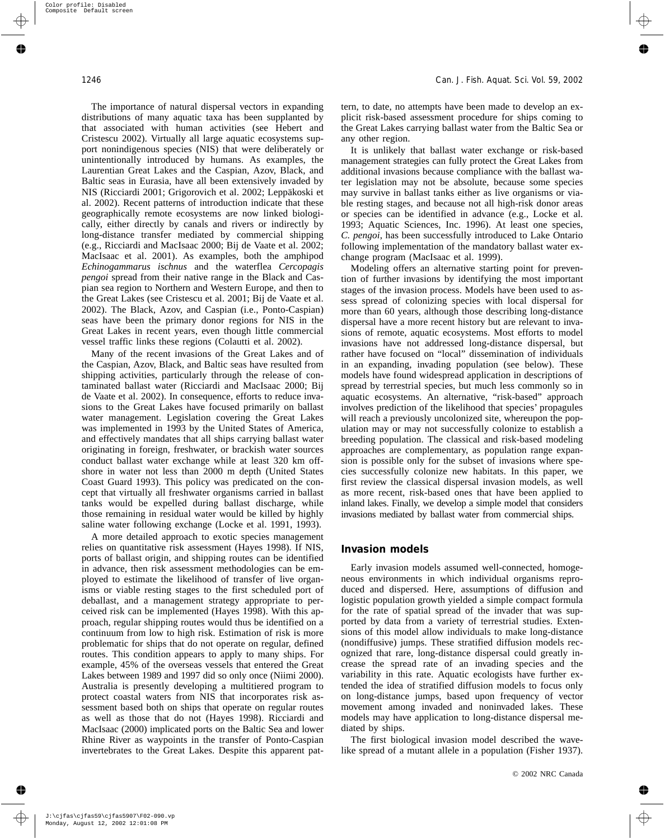The importance of natural dispersal vectors in expanding distributions of many aquatic taxa has been supplanted by that associated with human activities (see Hebert and Cristescu 2002). Virtually all large aquatic ecosystems support nonindigenous species (NIS) that were deliberately or unintentionally introduced by humans. As examples, the Laurentian Great Lakes and the Caspian, Azov, Black, and Baltic seas in Eurasia, have all been extensively invaded by NIS (Ricciardi 2001; Grigorovich et al. 2002; Leppäkoski et al. 2002). Recent patterns of introduction indicate that these geographically remote ecosystems are now linked biologically, either directly by canals and rivers or indirectly by long-distance transfer mediated by commercial shipping (e.g., Ricciardi and MacIsaac 2000; Bij de Vaate et al. 2002; MacIsaac et al. 2001). As examples, both the amphipod *Echinogammarus ischnus* and the waterflea *Cercopagis pengoi* spread from their native range in the Black and Caspian sea region to Northern and Western Europe, and then to the Great Lakes (see Cristescu et al. 2001; Bij de Vaate et al. 2002). The Black, Azov, and Caspian (i.e., Ponto-Caspian) seas have been the primary donor regions for NIS in the Great Lakes in recent years, even though little commercial vessel traffic links these regions (Colautti et al. 2002).

Many of the recent invasions of the Great Lakes and of the Caspian, Azov, Black, and Baltic seas have resulted from shipping activities, particularly through the release of contaminated ballast water (Ricciardi and MacIsaac 2000; Bij de Vaate et al. 2002). In consequence, efforts to reduce invasions to the Great Lakes have focused primarily on ballast water management. Legislation covering the Great Lakes was implemented in 1993 by the United States of America, and effectively mandates that all ships carrying ballast water originating in foreign, freshwater, or brackish water sources conduct ballast water exchange while at least 320 km offshore in water not less than 2000 m depth (United States Coast Guard 1993). This policy was predicated on the concept that virtually all freshwater organisms carried in ballast tanks would be expelled during ballast discharge, while those remaining in residual water would be killed by highly saline water following exchange (Locke et al. 1991, 1993).

A more detailed approach to exotic species management relies on quantitative risk assessment (Hayes 1998). If NIS, ports of ballast origin, and shipping routes can be identified in advance, then risk assessment methodologies can be employed to estimate the likelihood of transfer of live organisms or viable resting stages to the first scheduled port of deballast, and a management strategy appropriate to perceived risk can be implemented (Hayes 1998). With this approach, regular shipping routes would thus be identified on a continuum from low to high risk. Estimation of risk is more problematic for ships that do not operate on regular, defined routes. This condition appears to apply to many ships. For example, 45% of the overseas vessels that entered the Great Lakes between 1989 and 1997 did so only once (Niimi 2000). Australia is presently developing a multitiered program to protect coastal waters from NIS that incorporates risk assessment based both on ships that operate on regular routes as well as those that do not (Hayes 1998). Ricciardi and MacIsaac (2000) implicated ports on the Baltic Sea and lower Rhine River as waypoints in the transfer of Ponto-Caspian invertebrates to the Great Lakes. Despite this apparent pattern, to date, no attempts have been made to develop an explicit risk-based assessment procedure for ships coming to the Great Lakes carrying ballast water from the Baltic Sea or any other region.

It is unlikely that ballast water exchange or risk-based management strategies can fully protect the Great Lakes from additional invasions because compliance with the ballast water legislation may not be absolute, because some species may survive in ballast tanks either as live organisms or viable resting stages, and because not all high-risk donor areas or species can be identified in advance (e.g., Locke et al. 1993; Aquatic Sciences, Inc. 1996). At least one species, *C. pengoi*, has been successfully introduced to Lake Ontario following implementation of the mandatory ballast water exchange program (MacIsaac et al. 1999).

Modeling offers an alternative starting point for prevention of further invasions by identifying the most important stages of the invasion process. Models have been used to assess spread of colonizing species with local dispersal for more than 60 years, although those describing long-distance dispersal have a more recent history but are relevant to invasions of remote, aquatic ecosystems. Most efforts to model invasions have not addressed long-distance dispersal, but rather have focused on "local" dissemination of individuals in an expanding, invading population (see below). These models have found widespread application in descriptions of spread by terrestrial species, but much less commonly so in aquatic ecosystems. An alternative, "risk-based" approach involves prediction of the likelihood that species' propagules will reach a previously uncolonized site, whereupon the population may or may not successfully colonize to establish a breeding population. The classical and risk-based modeling approaches are complementary, as population range expansion is possible only for the subset of invasions where species successfully colonize new habitats. In this paper, we first review the classical dispersal invasion models, as well as more recent, risk-based ones that have been applied to inland lakes. Finally, we develop a simple model that considers invasions mediated by ballast water from commercial ships.

#### **Invasion models**

Early invasion models assumed well-connected, homogeneous environments in which individual organisms reproduced and dispersed. Here, assumptions of diffusion and logistic population growth yielded a simple compact formula for the rate of spatial spread of the invader that was supported by data from a variety of terrestrial studies. Extensions of this model allow individuals to make long-distance (nondiffusive) jumps. These stratified diffusion models recognized that rare, long-distance dispersal could greatly increase the spread rate of an invading species and the variability in this rate. Aquatic ecologists have further extended the idea of stratified diffusion models to focus only on long-distance jumps, based upon frequency of vector movement among invaded and noninvaded lakes. These models may have application to long-distance dispersal mediated by ships.

The first biological invasion model described the wavelike spread of a mutant allele in a population (Fisher 1937).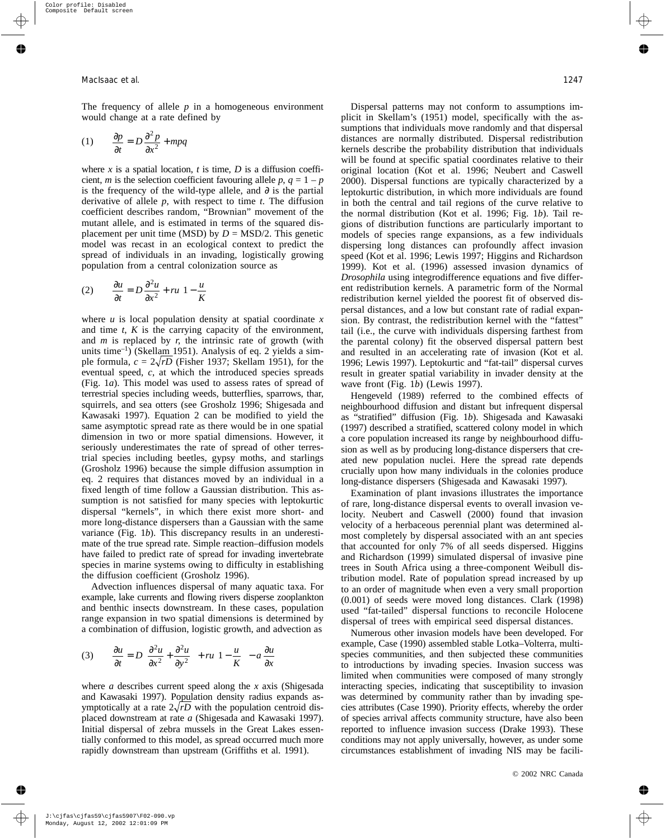The frequency of allele *p* in a homogeneous environment would change at a rate defined by

$$
(1) \qquad \frac{\partial p}{\partial t} = D \frac{\partial^2 p}{\partial x^2} + m p q
$$

where *x* is a spatial location, *t* is time, *D* is a diffusion coefficient, *m* is the selection coefficient favouring allele *p*,  $q = 1 - p$ is the frequency of the wild-type allele, and  $\partial$  is the partial derivative of allele *p*, with respect to time *t*. The diffusion coefficient describes random, "Brownian" movement of the mutant allele, and is estimated in terms of the squared displacement per unit time (MSD) by  $D = MSD/2$ . This genetic model was recast in an ecological context to predict the spread of individuals in an invading, logistically growing population from a central colonization source as

(2) 
$$
\frac{\partial u}{\partial t} = D \frac{\partial^2 u}{\partial x^2} + ru \left( 1 - \frac{u}{K} \right)
$$

where *u* is local population density at spatial coordinate *x* and time *t*, *K* is the carrying capacity of the environment, and *m* is replaced by *r*, the intrinsic rate of growth (with units time<sup>-1</sup>) (Skellam 1951). Analysis of eq. 2 yields a simple formula,  $c = 2\sqrt{r}D$  (Fisher 1937; Skellam 1951), for the eventual speed, *c*, at which the introduced species spreads (Fig. 1*a*). This model was used to assess rates of spread of terrestrial species including weeds, butterflies, sparrows, thar, squirrels, and sea otters (see Grosholz 1996; Shigesada and Kawasaki 1997). Equation 2 can be modified to yield the same asymptotic spread rate as there would be in one spatial dimension in two or more spatial dimensions. However, it seriously underestimates the rate of spread of other terrestrial species including beetles, gypsy moths, and starlings (Grosholz 1996) because the simple diffusion assumption in eq. 2 requires that distances moved by an individual in a fixed length of time follow a Gaussian distribution. This assumption is not satisfied for many species with leptokurtic dispersal "kernels", in which there exist more short- and more long-distance dispersers than a Gaussian with the same variance (Fig. 1*b*). This discrepancy results in an underestimate of the true spread rate. Simple reaction–diffusion models have failed to predict rate of spread for invading invertebrate species in marine systems owing to difficulty in establishing the diffusion coefficient (Grosholz 1996).

Advection influences dispersal of many aquatic taxa. For example, lake currents and flowing rivers disperse zooplankton and benthic insects downstream. In these cases, population range expansion in two spatial dimensions is determined by a combination of diffusion, logistic growth, and advection as

$$
(3) \qquad \frac{\partial u}{\partial t} = D \left( \frac{\partial^2 u}{\partial x^2} + \frac{\partial^2 u}{\partial y^2} \right) + r u \left( 1 - \frac{u}{K} \right) - a \frac{\partial u}{\partial x}
$$

where *a* describes current speed along the *x* axis (Shigesada and Kawasaki 1997). Population density radius expands asymptotically at a rate  $2\sqrt{r}D$  with the population centroid displaced downstream at rate *a* (Shigesada and Kawasaki 1997). Initial dispersal of zebra mussels in the Great Lakes essentially conformed to this model, as spread occurred much more rapidly downstream than upstream (Griffiths et al. 1991).

Dispersal patterns may not conform to assumptions implicit in Skellam's (1951) model, specifically with the assumptions that individuals move randomly and that dispersal distances are normally distributed. Dispersal redistribution kernels describe the probability distribution that individuals will be found at specific spatial coordinates relative to their original location (Kot et al. 1996; Neubert and Caswell 2000). Dispersal functions are typically characterized by a leptokurtic distribution, in which more individuals are found in both the central and tail regions of the curve relative to the normal distribution (Kot et al. 1996; Fig. 1*b*). Tail regions of distribution functions are particularly important to models of species range expansions, as a few individuals dispersing long distances can profoundly affect invasion speed (Kot et al. 1996; Lewis 1997; Higgins and Richardson 1999). Kot et al. (1996) assessed invasion dynamics of *Drosophila* using integrodifference equations and five different redistribution kernels. A parametric form of the Normal redistribution kernel yielded the poorest fit of observed dispersal distances, and a low but constant rate of radial expansion. By contrast, the redistribution kernel with the "fattest" tail (i.e., the curve with individuals dispersing farthest from the parental colony) fit the observed dispersal pattern best and resulted in an accelerating rate of invasion (Kot et al. 1996; Lewis 1997). Leptokurtic and "fat-tail" dispersal curves result in greater spatial variability in invader density at the wave front (Fig. 1*b*) (Lewis 1997).

Hengeveld (1989) referred to the combined effects of neighbourhood diffusion and distant but infrequent dispersal as "stratified" diffusion (Fig. 1*b*). Shigesada and Kawasaki (1997) described a stratified, scattered colony model in which a core population increased its range by neighbourhood diffusion as well as by producing long-distance dispersers that created new population nuclei. Here the spread rate depends crucially upon how many individuals in the colonies produce long-distance dispersers (Shigesada and Kawasaki 1997).

Examination of plant invasions illustrates the importance of rare, long-distance dispersal events to overall invasion velocity. Neubert and Caswell (2000) found that invasion velocity of a herbaceous perennial plant was determined almost completely by dispersal associated with an ant species that accounted for only 7% of all seeds dispersed. Higgins and Richardson (1999) simulated dispersal of invasive pine trees in South Africa using a three-component Weibull distribution model. Rate of population spread increased by up to an order of magnitude when even a very small proportion (0.001) of seeds were moved long distances. Clark (1998) used "fat-tailed" dispersal functions to reconcile Holocene dispersal of trees with empirical seed dispersal distances.

Numerous other invasion models have been developed. For example, Case (1990) assembled stable Lotka–Volterra, multispecies communities, and then subjected these communities to introductions by invading species. Invasion success was limited when communities were composed of many strongly interacting species, indicating that susceptibility to invasion was determined by community rather than by invading species attributes (Case 1990). Priority effects, whereby the order of species arrival affects community structure, have also been reported to influence invasion success (Drake 1993). These conditions may not apply universally, however, as under some circumstances establishment of invading NIS may be facili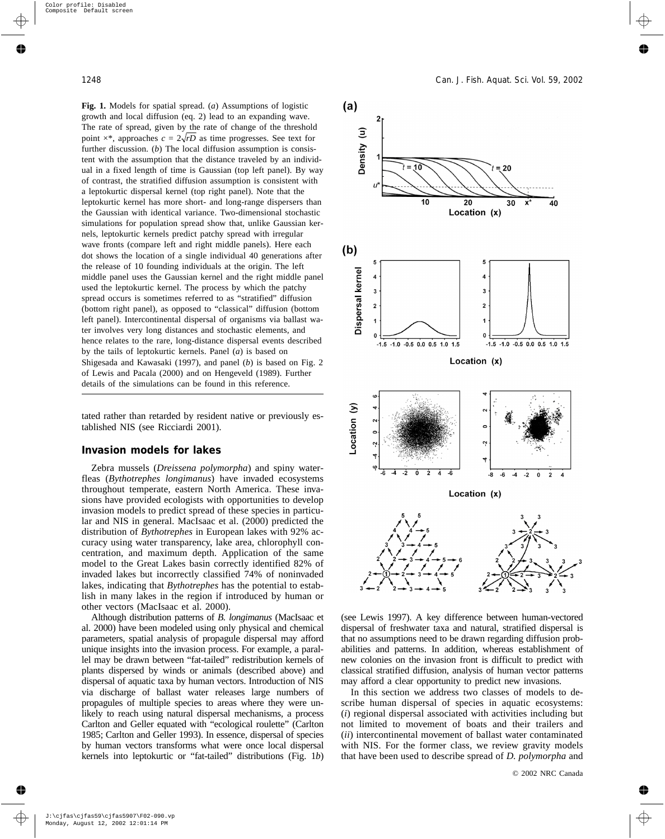**Fig. 1.** Models for spatial spread. (*a*) Assumptions of logistic growth and local diffusion (eq. 2) lead to an expanding wave. The rate of spread, given by the rate of change of the threshold point  $\times^*$ , approaches  $c = 2\sqrt{rD}$  as time progresses. See text for further discussion. (*b*) The local diffusion assumption is consistent with the assumption that the distance traveled by an individual in a fixed length of time is Gaussian (top left panel). By way of contrast, the stratified diffusion assumption is consistent with a leptokurtic dispersal kernel (top right panel). Note that the leptokurtic kernel has more short- and long-range dispersers than the Gaussian with identical variance. Two-dimensional stochastic simulations for population spread show that, unlike Gaussian kernels, leptokurtic kernels predict patchy spread with irregular wave fronts (compare left and right middle panels). Here each dot shows the location of a single individual 40 generations after the release of 10 founding individuals at the origin. The left middle panel uses the Gaussian kernel and the right middle panel used the leptokurtic kernel. The process by which the patchy spread occurs is sometimes referred to as "stratified" diffusion (bottom right panel), as opposed to "classical" diffusion (bottom left panel). Intercontinental dispersal of organisms via ballast water involves very long distances and stochastic elements, and hence relates to the rare, long-distance dispersal events described by the tails of leptokurtic kernels. Panel (*a*) is based on Shigesada and Kawasaki (1997), and panel (*b*) is based on Fig. 2 of Lewis and Pacala (2000) and on Hengeveld (1989). Further details of the simulations can be found in this reference.

tated rather than retarded by resident native or previously established NIS (see Ricciardi 2001).

#### **Invasion models for lakes**

Zebra mussels (*Dreissena polymorpha*) and spiny waterfleas (*Bythotrephes longimanus*) have invaded ecosystems throughout temperate, eastern North America. These invasions have provided ecologists with opportunities to develop invasion models to predict spread of these species in particular and NIS in general. MacIsaac et al. (2000) predicted the distribution of *Bythotrephes* in European lakes with 92% accuracy using water transparency, lake area, chlorophyll concentration, and maximum depth. Application of the same model to the Great Lakes basin correctly identified 82% of invaded lakes but incorrectly classified 74% of noninvaded lakes, indicating that *Bythotrephes* has the potential to establish in many lakes in the region if introduced by human or other vectors (MacIsaac et al. 2000).

Although distribution patterns of *B. longimanus* (MacIsaac et al. 2000) have been modeled using only physical and chemical parameters, spatial analysis of propagule dispersal may afford unique insights into the invasion process. For example, a parallel may be drawn between "fat-tailed" redistribution kernels of plants dispersed by winds or animals (described above) and dispersal of aquatic taxa by human vectors. Introduction of NIS via discharge of ballast water releases large numbers of propagules of multiple species to areas where they were unlikely to reach using natural dispersal mechanisms, a process Carlton and Geller equated with "ecological roulette" (Carlton 1985; Carlton and Geller 1993). In essence, dispersal of species by human vectors transforms what were once local dispersal kernels into leptokurtic or "fat-tailed" distributions (Fig. 1*b*)



(see Lewis 1997). A key difference between human-vectored dispersal of freshwater taxa and natural, stratified dispersal is that no assumptions need to be drawn regarding diffusion probabilities and patterns. In addition, whereas establishment of new colonies on the invasion front is difficult to predict with classical stratified diffusion, analysis of human vector patterns may afford a clear opportunity to predict new invasions.

In this section we address two classes of models to describe human dispersal of species in aquatic ecosystems: (*i*) regional dispersal associated with activities including but not limited to movement of boats and their trailers and (*ii*) intercontinental movement of ballast water contaminated with NIS. For the former class, we review gravity models that have been used to describe spread of *D. polymorpha* and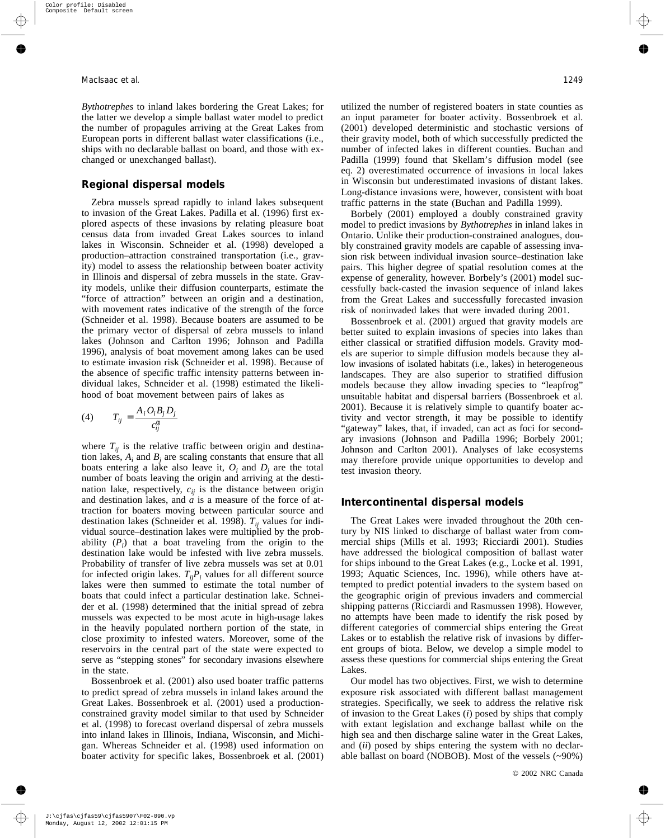*Bythotrephes* to inland lakes bordering the Great Lakes; for the latter we develop a simple ballast water model to predict the number of propagules arriving at the Great Lakes from European ports in different ballast water classifications (i.e., ships with no declarable ballast on board, and those with exchanged or unexchanged ballast).

### **Regional dispersal models**

Zebra mussels spread rapidly to inland lakes subsequent to invasion of the Great Lakes. Padilla et al. (1996) first explored aspects of these invasions by relating pleasure boat census data from invaded Great Lakes sources to inland lakes in Wisconsin. Schneider et al. (1998) developed a production–attraction constrained transportation (i.e., gravity) model to assess the relationship between boater activity in Illinois and dispersal of zebra mussels in the state. Gravity models, unlike their diffusion counterparts, estimate the "force of attraction" between an origin and a destination, with movement rates indicative of the strength of the force (Schneider et al. 1998). Because boaters are assumed to be the primary vector of dispersal of zebra mussels to inland lakes (Johnson and Carlton 1996; Johnson and Padilla 1996), analysis of boat movement among lakes can be used to estimate invasion risk (Schneider et al. 1998). Because of the absence of specific traffic intensity patterns between individual lakes, Schneider et al. (1998) estimated the likelihood of boat movement between pairs of lakes as

$$
(4) \t T_{ij} = \frac{A_i O_i B_j D_j}{c_{ij}^{\alpha}}
$$

where  $T_{ii}$  is the relative traffic between origin and destination lakes,  $A_i$  and  $B_i$  are scaling constants that ensure that all boats entering a lake also leave it,  $O_i$  and  $D_i$  are the total number of boats leaving the origin and arriving at the destination lake, respectively,  $c_{ij}$  is the distance between origin and destination lakes, and  $\alpha$  is a measure of the force of attraction for boaters moving between particular source and destination lakes (Schneider et al. 1998).  $T_{ii}$  values for individual source–destination lakes were multiplied by the probability  $(P_i)$  that a boat traveling from the origin to the destination lake would be infested with live zebra mussels. Probability of transfer of live zebra mussels was set at 0.01 for infected origin lakes.  $T_{ij}P_i$  values for all different source lakes were then summed to estimate the total number of boats that could infect a particular destination lake. Schneider et al. (1998) determined that the initial spread of zebra mussels was expected to be most acute in high-usage lakes in the heavily populated northern portion of the state, in close proximity to infested waters. Moreover, some of the reservoirs in the central part of the state were expected to serve as "stepping stones" for secondary invasions elsewhere in the state.

Bossenbroek et al. (2001) also used boater traffic patterns to predict spread of zebra mussels in inland lakes around the Great Lakes. Bossenbroek et al. (2001) used a productionconstrained gravity model similar to that used by Schneider et al. (1998) to forecast overland dispersal of zebra mussels into inland lakes in Illinois, Indiana, Wisconsin, and Michigan. Whereas Schneider et al. (1998) used information on boater activity for specific lakes, Bossenbroek et al. (2001) utilized the number of registered boaters in state counties as an input parameter for boater activity. Bossenbroek et al. (2001) developed deterministic and stochastic versions of their gravity model, both of which successfully predicted the number of infected lakes in different counties. Buchan and Padilla (1999) found that Skellam's diffusion model (see eq. 2) overestimated occurrence of invasions in local lakes in Wisconsin but underestimated invasions of distant lakes. Long-distance invasions were, however, consistent with boat traffic patterns in the state (Buchan and Padilla 1999).

Borbely (2001) employed a doubly constrained gravity model to predict invasions by *Bythotrephes* in inland lakes in Ontario. Unlike their production-constrained analogues, doubly constrained gravity models are capable of assessing invasion risk between individual invasion source–destination lake pairs. This higher degree of spatial resolution comes at the expense of generality, however. Borbely's (2001) model successfully back-casted the invasion sequence of inland lakes from the Great Lakes and successfully forecasted invasion risk of noninvaded lakes that were invaded during 2001.

Bossenbroek et al. (2001) argued that gravity models are better suited to explain invasions of species into lakes than either classical or stratified diffusion models. Gravity models are superior to simple diffusion models because they allow invasions of isolated habitats (i.e., lakes) in heterogeneous landscapes. They are also superior to stratified diffusion models because they allow invading species to "leapfrog" unsuitable habitat and dispersal barriers (Bossenbroek et al. 2001). Because it is relatively simple to quantify boater activity and vector strength, it may be possible to identify "gateway" lakes, that, if invaded, can act as foci for secondary invasions (Johnson and Padilla 1996; Borbely 2001; Johnson and Carlton 2001). Analyses of lake ecosystems may therefore provide unique opportunities to develop and test invasion theory.

# **Intercontinental dispersal models**

The Great Lakes were invaded throughout the 20th century by NIS linked to discharge of ballast water from commercial ships (Mills et al. 1993; Ricciardi 2001). Studies have addressed the biological composition of ballast water for ships inbound to the Great Lakes (e.g., Locke et al. 1991, 1993; Aquatic Sciences, Inc. 1996), while others have attempted to predict potential invaders to the system based on the geographic origin of previous invaders and commercial shipping patterns (Ricciardi and Rasmussen 1998). However, no attempts have been made to identify the risk posed by different categories of commercial ships entering the Great Lakes or to establish the relative risk of invasions by different groups of biota. Below, we develop a simple model to assess these questions for commercial ships entering the Great Lakes.

Our model has two objectives. First, we wish to determine exposure risk associated with different ballast management strategies. Specifically, we seek to address the relative risk of invasion to the Great Lakes (*i*) posed by ships that comply with extant legislation and exchange ballast while on the high sea and then discharge saline water in the Great Lakes, and (*ii*) posed by ships entering the system with no declarable ballast on board (NOBOB). Most of the vessels (~90%)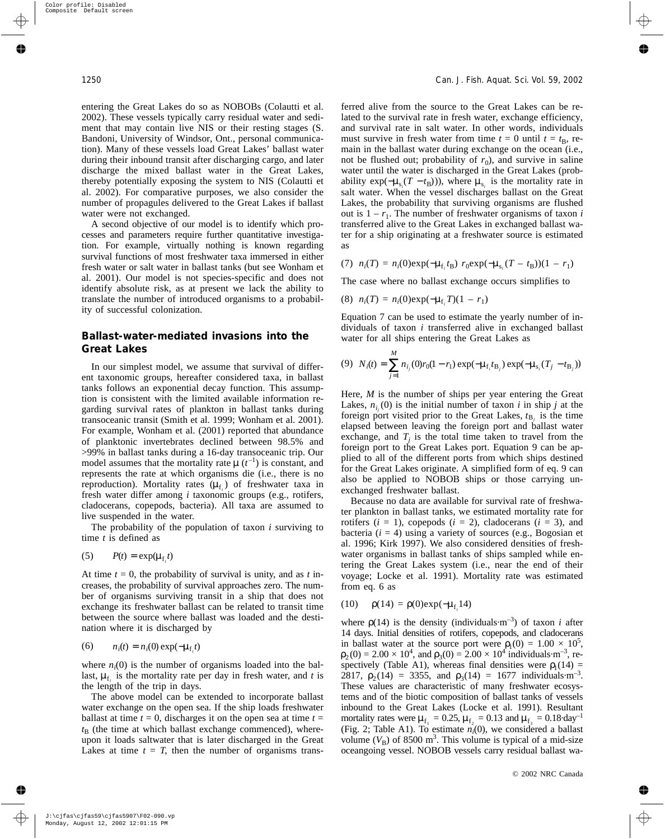entering the Great Lakes do so as NOBOBs (Colautti et al. 2002). These vessels typically carry residual water and sediment that may contain live NIS or their resting stages (S. Bandoni, University of Windsor, Ont., personal communication). Many of these vessels load Great Lakes' ballast water during their inbound transit after discharging cargo, and later discharge the mixed ballast water in the Great Lakes, thereby potentially exposing the system to NIS (Colautti et al. 2002). For comparative purposes, we also consider the number of propagules delivered to the Great Lakes if ballast water were not exchanged.

A second objective of our model is to identify which processes and parameters require further quantitative investigation. For example, virtually nothing is known regarding survival functions of most freshwater taxa immersed in either fresh water or salt water in ballast tanks (but see Wonham et al. 2001). Our model is not species-specific and does not identify absolute risk, as at present we lack the ability to translate the number of introduced organisms to a probability of successful colonization.

# **Ballast-water-mediated invasions into the Great Lakes**

In our simplest model, we assume that survival of different taxonomic groups, hereafter considered taxa, in ballast tanks follows an exponential decay function. This assumption is consistent with the limited available information regarding survival rates of plankton in ballast tanks during transoceanic transit (Smith et al. 1999; Wonham et al. 2001). For example, Wonham et al. (2001) reported that abundance of planktonic invertebrates declined between 98.5% and >99% in ballast tanks during a 16-day transoceanic trip. Our model assumes that the mortality rate  $\mu$  ( $t^{-1}$ ) is constant, and represents the rate at which organisms die (i.e., there is no reproduction). Mortality rates ( $\mu_{f_i}$ ) of freshwater taxa in fresh water differ among *i* taxonomic groups (e.g., rotifers, cladocerans, copepods, bacteria). All taxa are assumed to live suspended in the water.

The probability of the population of taxon *i* surviving to time *t* is defined as

$$
(5) \qquad P(t) = \exp(\mu_{f_i}t)
$$

At time  $t = 0$ , the probability of survival is unity, and as  $t$  increases, the probability of survival approaches zero. The number of organisms surviving transit in a ship that does not exchange its freshwater ballast can be related to transit time between the source where ballast was loaded and the destination where it is discharged by

(6) 
$$
n_i(t) = n_i(0) \exp(-\mu_{f_i}t)
$$

where  $n_i(0)$  is the number of organisms loaded into the ballast,  $\mu_{f_i}$  is the mortality rate per day in fresh water, and *t* is the length of the trip in days.

The above model can be extended to incorporate ballast water exchange on the open sea. If the ship loads freshwater ballast at time  $t = 0$ , discharges it on the open sea at time  $t =$  $t_{\rm B}$  (the time at which ballast exchange commenced), whereupon it loads saltwater that is later discharged in the Great Lakes at time  $t = T$ , then the number of organisms transferred alive from the source to the Great Lakes can be related to the survival rate in fresh water, exchange efficiency, and survival rate in salt water. In other words, individuals must survive in fresh water from time  $t = 0$  until  $t = t_B$ , remain in the ballast water during exchange on the ocean (i.e., not be flushed out; probability of  $r_0$ ), and survive in saline water until the water is discharged in the Great Lakes (probability  $\exp(-\mu_{s_i}(T - t_B)))$ , where  $\mu_{s_i}$  is the mortality rate in salt water. When the vessel discharges ballast on the Great Lakes, the probability that surviving organisms are flushed out is  $1 - r_1$ . The number of freshwater organisms of taxon *i* transferred alive to the Great Lakes in exchanged ballast water for a ship originating at a freshwater source is estimated as

(7) 
$$
n_i(T) = n_i(0) \exp(-\mu_{f_i} t_B) r_0 \exp(-\mu_{s_i}(T - t_B))(1 - r_1)
$$

The case where no ballast exchange occurs simplifies to

(8) 
$$
n_i(T) = n_i(0) \exp(-\mu_{f_i} T)(1 - r_1)
$$

Equation 7 can be used to estimate the yearly number of individuals of taxon *i* transferred alive in exchanged ballast water for all ships entering the Great Lakes as

(9) 
$$
N_i(t) = \sum_{j=1}^{M} n_{i_j}(0)r_0(1-r_1)\exp(-\mu_{f_i}t_{B_j})\exp(-\mu_{s_i}(T_j-t_{B_j}))
$$

Here, *M* is the number of ships per year entering the Great Lakes,  $n_{i_j}(0)$  is the initial number of taxon *i* in ship *j* at the foreign port visited prior to the Great Lakes,  $t_{\text{B}i}$  is the time elapsed between leaving the foreign port and ballast water exchange, and  $T<sub>i</sub>$  is the total time taken to travel from the foreign port to the Great Lakes port. Equation 9 can be applied to all of the different ports from which ships destined for the Great Lakes originate. A simplified form of eq. 9 can also be applied to NOBOB ships or those carrying unexchanged freshwater ballast.

Because no data are available for survival rate of freshwater plankton in ballast tanks, we estimated mortality rate for rotifers  $(i = 1)$ , copepods  $(i = 2)$ , cladocerans  $(i = 3)$ , and bacteria  $(i = 4)$  using a variety of sources (e.g., Bogosian et al. 1996; Kirk 1997). We also considered densities of freshwater organisms in ballast tanks of ships sampled while entering the Great Lakes system (i.e., near the end of their voyage; Locke et al. 1991). Mortality rate was estimated from eq. 6 as

(10) 
$$
\rho(14) = \rho(0) \exp(-\mu_{f_i} 14)
$$

where  $p(14)$  is the density (individuals $\cdot$ m<sup>-3</sup>) of taxon *i* after 14 days. Initial densities of rotifers, copepods, and cladocerans in ballast water at the source port were  $\rho_1(0) = 1.00 \times 10^5$ ,  $\rho_2(0) = 2.00 \times 10^4$ , and  $\rho_3(0) = 2.00 \times 10^4$  individuals m<sup>-3</sup>, respectively (Table A1), whereas final densities were  $\rho_1(14)$  = 2817,  $\rho_2(14) = 3355$ , and  $\rho_3(14) = 1677$  individuals·m<sup>-3</sup>. These values are characteristic of many freshwater ecosystems and of the biotic composition of ballast tanks of vessels inbound to the Great Lakes (Locke et al. 1991). Resultant mortality rates were  $\mu_{f_1} = 0.25$ ,  $\mu_{f_2} = 0.13$  and  $\mu_{f_3} = 0.18 \text{ day}^{-1}$ (Fig. 2; Table A1). To estimate  $n_i(0)$ , we considered a ballast volume  $(V<sub>B</sub>)$  of 8500 m<sup>3</sup>. This volume is typical of a mid-size oceangoing vessel. NOBOB vessels carry residual ballast wa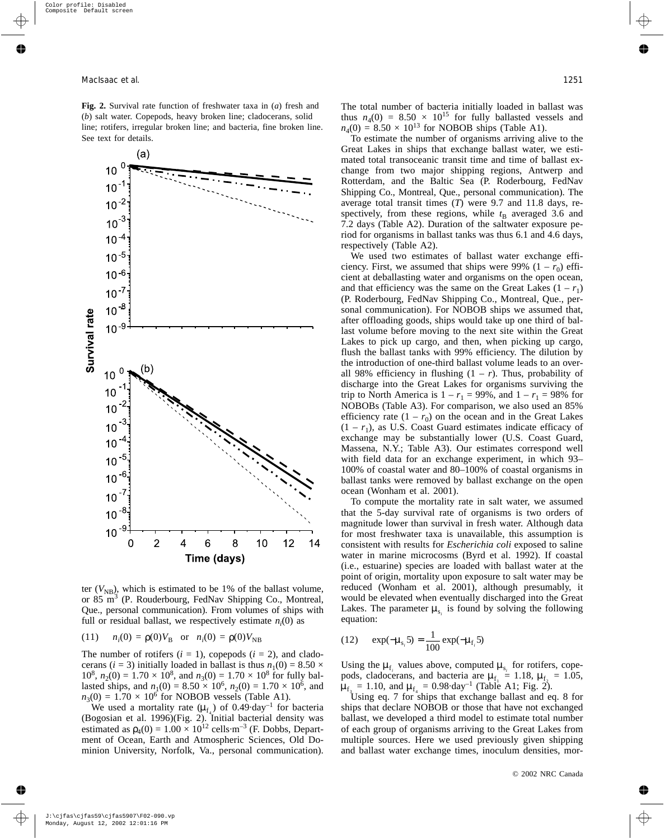**Fig. 2.** Survival rate function of freshwater taxa in (*a*) fresh and (*b*) salt water. Copepods, heavy broken line; cladocerans, solid line; rotifers, irregular broken line; and bacteria, fine broken line. See text for details.



ter  $(V_{NB})$ , which is estimated to be 1% of the ballast volume, or 85 m<sup>3</sup> (P. Rouderbourg, FedNav Shipping Co., Montreal, Que., personal communication). From volumes of ships with full or residual ballast, we respectively estimate  $n_i(0)$  as

(11) 
$$
n_i(0) = \rho(0)V_B
$$
 or  $n_i(0) = \rho(0)V_{NB}$ 

The number of rotifers  $(i = 1)$ , copepods  $(i = 2)$ , and cladocerans (*i* = 3) initially loaded in ballast is thus  $n_1(0) = 8.50 \times$  $10^8$ ,  $n_2(0) = 1.70 \times 10^8$ , and  $n_3(0) = 1.70 \times 10^8$  for fully ballasted ships, and  $n_1(0) = 8.50 \times 10^6$ ,  $n_2(0) = 1.70 \times 10^6$ , and  $n_3(0) = 1.70 \times 10^6$  for NOBOB vessels (Table A1).

We used a mortality rate  $(\mu_{f_4})$  of 0.49 day<sup>-1</sup> for bacteria (Bogosian et al. 1996)(Fig. 2). Initial bacterial density was estimated as  $\rho_4(0) = 1.00 \times 10^{12}$  cells·m<sup>-3</sup> (F. Dobbs, Department of Ocean, Earth and Atmospheric Sciences, Old Dominion University, Norfolk, Va., personal communication). The total number of bacteria initially loaded in ballast was thus  $n_4(0) = 8.50 \times 10^{15}$  for fully ballasted vessels and  $n_4(0) = 8.50 \times 10^{13}$  for NOBOB ships (Table A1).

To estimate the number of organisms arriving alive to the Great Lakes in ships that exchange ballast water, we estimated total transoceanic transit time and time of ballast exchange from two major shipping regions, Antwerp and Rotterdam, and the Baltic Sea (P. Roderbourg, FedNav Shipping Co., Montreal, Que., personal communication). The average total transit times (*T*) were 9.7 and 11.8 days, respectively, from these regions, while  $t<sub>B</sub>$  averaged 3.6 and 7.2 days (Table A2). Duration of the saltwater exposure period for organisms in ballast tanks was thus 6.1 and 4.6 days, respectively (Table A2).

We used two estimates of ballast water exchange efficiency. First, we assumed that ships were 99%  $(1 - r_0)$  efficient at deballasting water and organisms on the open ocean, and that efficiency was the same on the Great Lakes  $(1 - r_1)$ (P. Roderbourg, FedNav Shipping Co., Montreal, Que., personal communication). For NOBOB ships we assumed that, after offloading goods, ships would take up one third of ballast volume before moving to the next site within the Great Lakes to pick up cargo, and then, when picking up cargo, flush the ballast tanks with 99% efficiency. The dilution by the introduction of one-third ballast volume leads to an overall 98% efficiency in flushing  $(1 - r)$ . Thus, probability of discharge into the Great Lakes for organisms surviving the trip to North America is  $1 - r_1 = 99\%$ , and  $1 - r_1 = 98\%$  for NOBOBs (Table A3). For comparison, we also used an 85% efficiency rate  $(1 - r_0)$  on the ocean and in the Great Lakes  $(1 - r_1)$ , as U.S. Coast Guard estimates indicate efficacy of exchange may be substantially lower (U.S. Coast Guard, Massena, N.Y.; Table A3). Our estimates correspond well with field data for an exchange experiment, in which 93– 100% of coastal water and 80–100% of coastal organisms in ballast tanks were removed by ballast exchange on the open ocean (Wonham et al. 2001).

To compute the mortality rate in salt water, we assumed that the 5-day survival rate of organisms is two orders of magnitude lower than survival in fresh water. Although data for most freshwater taxa is unavailable, this assumption is consistent with results for *Escherichia coli* exposed to saline water in marine microcosms (Byrd et al. 1992). If coastal (i.e., estuarine) species are loaded with ballast water at the point of origin, mortality upon exposure to salt water may be reduced (Wonham et al. 2001), although presumably, it would be elevated when eventually discharged into the Great Lakes. The parameter  $\mu_{s_i}$  is found by solving the following equation:

(12) 
$$
\exp(-\mu_{s_i} 5) = \frac{1}{100} \exp(-\mu_{f_i} 5)
$$

Using the  $\mu_{f_i}$  values above, computed  $\mu_{s_i}$  for rotifers, copepods, cladocerans, and bacteria are  $\mu_{f_1} = 1.18$ ,  $\mu_{f_2} = 1.05$ ,  $\mu_{f_3} = 1.10$ , and  $\mu_{f_4} = 0.98 \text{ day}^{-1}$  (Table A1; Fig. 2).

Using eq. 7 for ships that exchange ballast and eq. 8 for ships that declare NOBOB or those that have not exchanged ballast, we developed a third model to estimate total number of each group of organisms arriving to the Great Lakes from multiple sources. Here we used previously given shipping and ballast water exchange times, inoculum densities, mor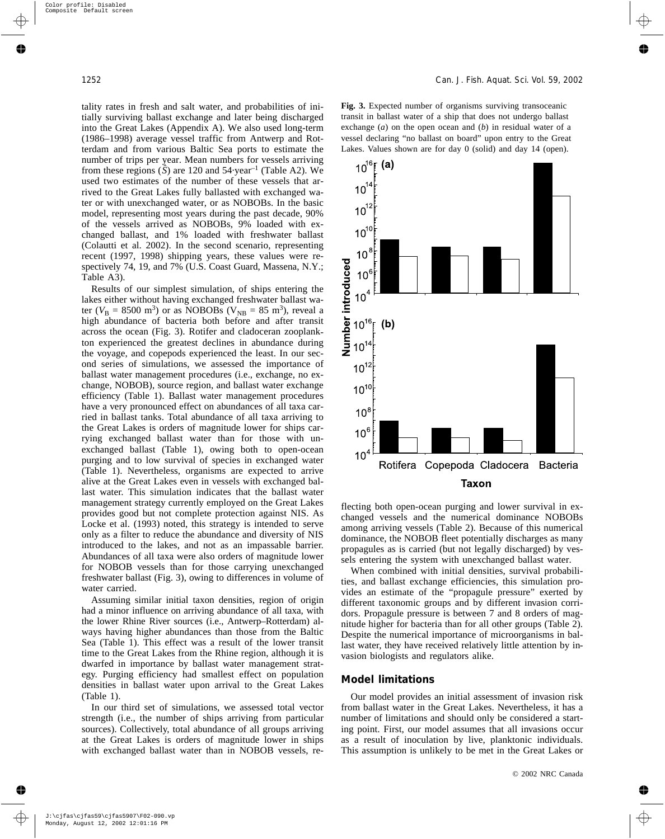tality rates in fresh and salt water, and probabilities of initially surviving ballast exchange and later being discharged into the Great Lakes (Appendix A). We also used long-term (1986–1998) average vessel traffic from Antwerp and Rotterdam and from various Baltic Sea ports to estimate the number of trips per year. Mean numbers for vessels arriving from these regions  $(S)$  are 120 and 54 year<sup>-1</sup> (Table A2). We used two estimates of the number of these vessels that arrived to the Great Lakes fully ballasted with exchanged water or with unexchanged water, or as NOBOBs. In the basic model, representing most years during the past decade, 90% of the vessels arrived as NOBOBs, 9% loaded with exchanged ballast, and 1% loaded with freshwater ballast (Colautti et al. 2002). In the second scenario, representing recent (1997, 1998) shipping years, these values were respectively 74, 19, and 7% (U.S. Coast Guard, Massena, N.Y.; Table A3).

Results of our simplest simulation, of ships entering the lakes either without having exchanged freshwater ballast water ( $V_{\rm B} = 8500 \text{ m}^3$ ) or as NOBOBs ( $V_{\rm NB} = 85 \text{ m}^3$ ), reveal a high abundance of bacteria both before and after transit across the ocean (Fig. 3). Rotifer and cladoceran zooplankton experienced the greatest declines in abundance during the voyage, and copepods experienced the least. In our second series of simulations, we assessed the importance of ballast water management procedures (i.e., exchange, no exchange, NOBOB), source region, and ballast water exchange efficiency (Table 1). Ballast water management procedures have a very pronounced effect on abundances of all taxa carried in ballast tanks. Total abundance of all taxa arriving to the Great Lakes is orders of magnitude lower for ships carrying exchanged ballast water than for those with unexchanged ballast (Table 1), owing both to open-ocean purging and to low survival of species in exchanged water (Table 1). Nevertheless, organisms are expected to arrive alive at the Great Lakes even in vessels with exchanged ballast water. This simulation indicates that the ballast water management strategy currently employed on the Great Lakes provides good but not complete protection against NIS. As Locke et al. (1993) noted, this strategy is intended to serve only as a filter to reduce the abundance and diversity of NIS introduced to the lakes, and not as an impassable barrier. Abundances of all taxa were also orders of magnitude lower for NOBOB vessels than for those carrying unexchanged freshwater ballast (Fig. 3), owing to differences in volume of water carried.

Assuming similar initial taxon densities, region of origin had a minor influence on arriving abundance of all taxa, with the lower Rhine River sources (i.e., Antwerp–Rotterdam) always having higher abundances than those from the Baltic Sea (Table 1). This effect was a result of the lower transit time to the Great Lakes from the Rhine region, although it is dwarfed in importance by ballast water management strategy. Purging efficiency had smallest effect on population densities in ballast water upon arrival to the Great Lakes (Table 1).

In our third set of simulations, we assessed total vector strength (i.e., the number of ships arriving from particular sources). Collectively, total abundance of all groups arriving at the Great Lakes is orders of magnitude lower in ships with exchanged ballast water than in NOBOB vessels, re**Fig. 3.** Expected number of organisms surviving transoceanic transit in ballast water of a ship that does not undergo ballast exchange (*a*) on the open ocean and (*b*) in residual water of a vessel declaring "no ballast on board" upon entry to the Great Lakes. Values shown are for day 0 (solid) and day 14 (open).



flecting both open-ocean purging and lower survival in exchanged vessels and the numerical dominance NOBOBs among arriving vessels (Table 2). Because of this numerical dominance, the NOBOB fleet potentially discharges as many propagules as is carried (but not legally discharged) by vessels entering the system with unexchanged ballast water.

When combined with initial densities, survival probabilities, and ballast exchange efficiencies, this simulation provides an estimate of the "propagule pressure" exerted by different taxonomic groups and by different invasion corridors. Propagule pressure is between 7 and 8 orders of magnitude higher for bacteria than for all other groups (Table 2). Despite the numerical importance of microorganisms in ballast water, they have received relatively little attention by invasion biologists and regulators alike.

#### **Model limitations**

Our model provides an initial assessment of invasion risk from ballast water in the Great Lakes. Nevertheless, it has a number of limitations and should only be considered a starting point. First, our model assumes that all invasions occur as a result of inoculation by live, planktonic individuals. This assumption is unlikely to be met in the Great Lakes or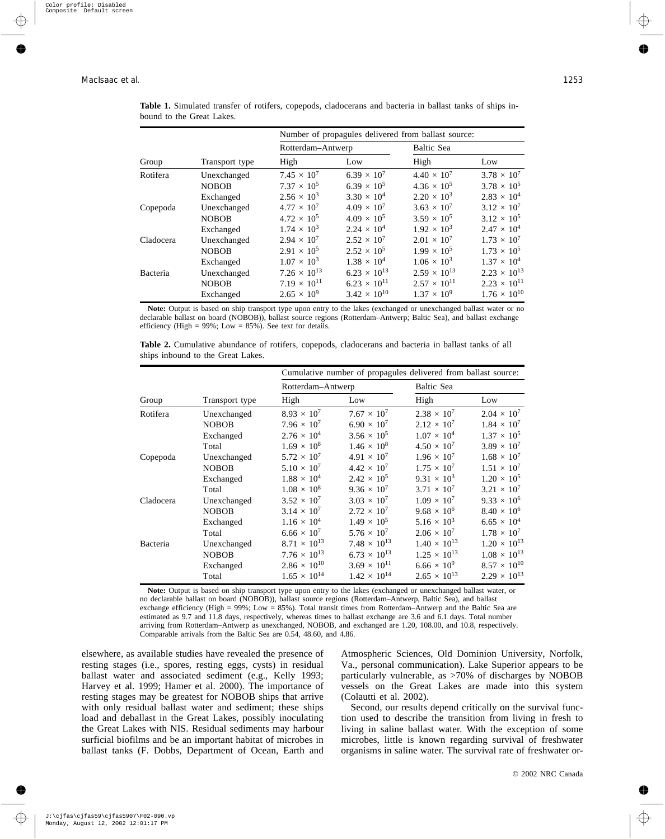|           |                | Number of propagules delivered from ballast source: |                       |                       |                       |  |  |  |
|-----------|----------------|-----------------------------------------------------|-----------------------|-----------------------|-----------------------|--|--|--|
|           |                | Rotterdam-Antwerp                                   |                       | Baltic Sea            |                       |  |  |  |
| Group     | Transport type | High                                                | Low                   | High                  | Low                   |  |  |  |
| Rotifera  | Unexchanged    | $7.45 \times 10^{7}$                                | $6.39 \times 10^{7}$  | $4.40 \times 10^{7}$  | $3.78 \times 10^{7}$  |  |  |  |
|           | <b>NOBOB</b>   | $7.37 \times 10^{5}$                                | $6.39 \times 10^{5}$  | $4.36 \times 10^{5}$  | $3.78 \times 10^{5}$  |  |  |  |
|           | Exchanged      | $2.56 \times 10^3$                                  | $3.30 \times 10^{4}$  | $2.20 \times 10^3$    | $2.83 \times 10^{4}$  |  |  |  |
| Copepoda  | Unexchanged    | $4.77 \times 10^{7}$                                | $4.09 \times 10^{7}$  | $3.63 \times 10^{7}$  | $3.12 \times 10^{7}$  |  |  |  |
|           | <b>NOBOB</b>   | $4.72 \times 10^{5}$                                | $4.09 \times 10^{5}$  | $3.59 \times 10^{5}$  | $3.12 \times 10^{5}$  |  |  |  |
| Cladocera | Exchanged      | $1.74 \times 10^{3}$                                | $2.24 \times 10^{4}$  | $1.92 \times 10^{3}$  | $2.47 \times 10^{4}$  |  |  |  |
|           | Unexchanged    | $2.94 \times 10^{7}$                                | $2.52 \times 10^{7}$  | $2.01 \times 10^{7}$  | $1.73 \times 10^{7}$  |  |  |  |
|           | <b>NOBOB</b>   | $2.91 \times 10^{5}$                                | $2.52 \times 10^5$    | $1.99 \times 10^{5}$  | $1.73 \times 10^{5}$  |  |  |  |
| Bacteria  | Exchanged      | $1.07 \times 10^{3}$                                | $1.38 \times 10^{4}$  | $1.06 \times 10^3$    | $1.37 \times 10^{4}$  |  |  |  |
|           | Unexchanged    | $7.26 \times 10^{13}$                               | $6.23 \times 10^{13}$ | $2.59 \times 10^{13}$ | $2.23 \times 10^{13}$ |  |  |  |
|           | <b>NOBOB</b>   | $7.19 \times 10^{11}$                               | $6.23 \times 10^{11}$ | $2.57 \times 10^{11}$ | $2.23 \times 10^{11}$ |  |  |  |
|           | Exchanged      | $2.65 \times 10^{9}$                                | $3.42 \times 10^{10}$ | $1.37 \times 10^{9}$  | $1.76 \times 10^{10}$ |  |  |  |

| Table 1. Simulated transfer of rotifers, copepods, cladocerans and bacteria in ballast tanks of ships in- |  |  |  |  |  |  |  |
|-----------------------------------------------------------------------------------------------------------|--|--|--|--|--|--|--|
| bound to the Great Lakes.                                                                                 |  |  |  |  |  |  |  |

**Note:** Output is based on ship transport type upon entry to the lakes (exchanged or unexchanged ballast water or no declarable ballast on board (NOBOB)), ballast source regions (Rotterdam–Antwerp; Baltic Sea), and ballast exchange efficiency (High =  $99\%$ ; Low =  $85\%$ ). See text for details.

|           |                | Cumulative number of propagules delivered from ballast source: |                       |                       |                       |  |  |
|-----------|----------------|----------------------------------------------------------------|-----------------------|-----------------------|-----------------------|--|--|
|           |                | Rotterdam-Antwerp                                              |                       | Baltic Sea            |                       |  |  |
| Group     | Transport type | High                                                           | Low                   | High                  | Low                   |  |  |
| Rotifera  | Unexchanged    | $8.93 \times 10^{7}$                                           | $7.67 \times 10^{7}$  | $2.38 \times 10^{7}$  | $2.04 \times 10^{7}$  |  |  |
|           | <b>NOBOB</b>   | $7.96 \times 10^{7}$                                           | $6.90 \times 10^{7}$  | $2.12 \times 10^{7}$  | $1.84 \times 10^{7}$  |  |  |
|           | Exchanged      | $2.76 \times 10^{4}$                                           | $3.56 \times 10^{5}$  | $1.07 \times 10^{4}$  | $1.37 \times 10^{5}$  |  |  |
|           | Total          | $1.69 \times 10^8$                                             | $1.46 \times 10^8$    | $4.50 \times 10^{7}$  | $3.89 \times 10^{7}$  |  |  |
| Copepoda  | Unexchanged    | $5.72 \times 10^{7}$                                           | $4.91 \times 10^{7}$  | $1.96 \times 10^{7}$  | $1.68 \times 10^{7}$  |  |  |
|           | <b>NOBOB</b>   | $5.10 \times 10^{7}$                                           | $4.42 \times 10^{7}$  | $1.75 \times 10^{7}$  | $1.51 \times 10^{7}$  |  |  |
|           | Exchanged      | $1.88 \times 10^{4}$                                           | $2.42 \times 10^5$    | $9.31 \times 10^3$    | $1.20 \times 10^5$    |  |  |
|           | Total          | $1.08 \times 10^8$                                             | $9.36 \times 10^{7}$  | $3.71 \times 10^{7}$  | $3.21 \times 10^{7}$  |  |  |
| Cladocera | Unexchanged    | $3.52 \times 10^{7}$                                           | $3.03 \times 10^{7}$  | $1.09 \times 10^{7}$  | $9.33 \times 10^{6}$  |  |  |
|           | <b>NOBOB</b>   | $3.14 \times 10^{7}$                                           | $2.72 \times 10^{7}$  | $9.68 \times 10^{6}$  | $8.40 \times 10^{6}$  |  |  |
|           | Exchanged      | $1.16 \times 10^{4}$                                           | $1.49 \times 10^{5}$  | $5.16 \times 10^{3}$  | $6.65 \times 10^{4}$  |  |  |
|           | Total          | $6.66 \times 10^{7}$                                           | $5.76 \times 10^{7}$  | $2.06 \times 10^{7}$  | $1.78 \times 10^{7}$  |  |  |
| Bacteria  | Unexchanged    | $8.71 \times 10^{13}$                                          | $7.48 \times 10^{13}$ | $1.40 \times 10^{13}$ | $1.20 \times 10^{13}$ |  |  |
|           | <b>NOBOB</b>   | $7.76 \times 10^{13}$                                          | $6.73 \times 10^{13}$ | $1.25 \times 10^{13}$ | $1.08 \times 10^{13}$ |  |  |
|           | Exchanged      | $2.86 \times 10^{10}$                                          | $3.69 \times 10^{11}$ | $6.66 \times 10^{9}$  | $8.57 \times 10^{10}$ |  |  |
|           | Total          | $1.65 \times 10^{14}$                                          | $1.42 \times 10^{14}$ | $2.65 \times 10^{13}$ | $2.29 \times 10^{13}$ |  |  |

**Table 2.** Cumulative abundance of rotifers, copepods, cladocerans and bacteria in ballast tanks of all ships inbound to the Great Lakes.

**Note:** Output is based on ship transport type upon entry to the lakes (exchanged or unexchanged ballast water, or no declarable ballast on board (NOBOB)), ballast source regions (Rotterdam–Antwerp, Baltic Sea), and ballast exchange efficiency (High = 99%; Low = 85%). Total transit times from Rotterdam–Antwerp and the Baltic Sea are estimated as 9.7 and 11.8 days, respectively, whereas times to ballast exchange are 3.6 and 6.1 days. Total number arriving from Rotterdam–Antwerp as unexchanged, NOBOB, and exchanged are 1.20, 108.00, and 10.8, respectively. Comparable arrivals from the Baltic Sea are 0.54, 48.60, and 4.86.

elsewhere, as available studies have revealed the presence of resting stages (i.e., spores, resting eggs, cysts) in residual ballast water and associated sediment (e.g., Kelly 1993; Harvey et al. 1999; Hamer et al. 2000). The importance of resting stages may be greatest for NOBOB ships that arrive with only residual ballast water and sediment; these ships load and deballast in the Great Lakes, possibly inoculating the Great Lakes with NIS. Residual sediments may harbour surficial biofilms and be an important habitat of microbes in ballast tanks (F. Dobbs, Department of Ocean, Earth and Atmospheric Sciences, Old Dominion University, Norfolk, Va., personal communication). Lake Superior appears to be particularly vulnerable, as >70% of discharges by NOBOB vessels on the Great Lakes are made into this system (Colautti et al. 2002).

Second, our results depend critically on the survival function used to describe the transition from living in fresh to living in saline ballast water. With the exception of some microbes, little is known regarding survival of freshwater organisms in saline water. The survival rate of freshwater or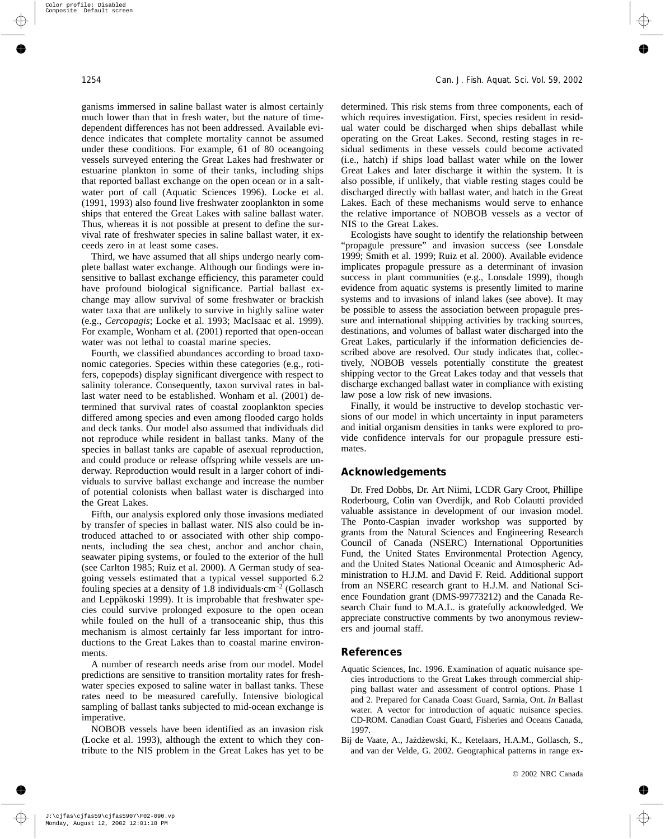ganisms immersed in saline ballast water is almost certainly much lower than that in fresh water, but the nature of timedependent differences has not been addressed. Available evidence indicates that complete mortality cannot be assumed under these conditions. For example, 61 of 80 oceangoing vessels surveyed entering the Great Lakes had freshwater or estuarine plankton in some of their tanks, including ships that reported ballast exchange on the open ocean or in a saltwater port of call (Aquatic Sciences 1996). Locke et al. (1991, 1993) also found live freshwater zooplankton in some ships that entered the Great Lakes with saline ballast water. Thus, whereas it is not possible at present to define the survival rate of freshwater species in saline ballast water, it exceeds zero in at least some cases.

Third, we have assumed that all ships undergo nearly complete ballast water exchange. Although our findings were insensitive to ballast exchange efficiency, this parameter could have profound biological significance. Partial ballast exchange may allow survival of some freshwater or brackish water taxa that are unlikely to survive in highly saline water (e.g., *Cercopagis*; Locke et al. 1993; MacIsaac et al. 1999). For example, Wonham et al. (2001) reported that open-ocean water was not lethal to coastal marine species.

Fourth, we classified abundances according to broad taxonomic categories. Species within these categories (e.g., rotifers, copepods) display significant divergence with respect to salinity tolerance. Consequently, taxon survival rates in ballast water need to be established. Wonham et al. (2001) determined that survival rates of coastal zooplankton species differed among species and even among flooded cargo holds and deck tanks. Our model also assumed that individuals did not reproduce while resident in ballast tanks. Many of the species in ballast tanks are capable of asexual reproduction, and could produce or release offspring while vessels are underway. Reproduction would result in a larger cohort of individuals to survive ballast exchange and increase the number of potential colonists when ballast water is discharged into the Great Lakes.

Fifth, our analysis explored only those invasions mediated by transfer of species in ballast water. NIS also could be introduced attached to or associated with other ship components, including the sea chest, anchor and anchor chain, seawater piping systems, or fouled to the exterior of the hull (see Carlton 1985; Ruiz et al. 2000). A German study of seagoing vessels estimated that a typical vessel supported 6.2 fouling species at a density of 1.8 individuals $\cdot$ cm<sup>-2</sup> (Gollasch and Leppäkoski 1999). It is improbable that freshwater species could survive prolonged exposure to the open ocean while fouled on the hull of a transoceanic ship, thus this mechanism is almost certainly far less important for introductions to the Great Lakes than to coastal marine environments.

A number of research needs arise from our model. Model predictions are sensitive to transition mortality rates for freshwater species exposed to saline water in ballast tanks. These rates need to be measured carefully. Intensive biological sampling of ballast tanks subjected to mid-ocean exchange is imperative.

NOBOB vessels have been identified as an invasion risk (Locke et al. 1993), although the extent to which they contribute to the NIS problem in the Great Lakes has yet to be determined. This risk stems from three components, each of which requires investigation. First, species resident in residual water could be discharged when ships deballast while operating on the Great Lakes. Second, resting stages in residual sediments in these vessels could become activated (i.e., hatch) if ships load ballast water while on the lower Great Lakes and later discharge it within the system. It is also possible, if unlikely, that viable resting stages could be discharged directly with ballast water, and hatch in the Great Lakes. Each of these mechanisms would serve to enhance the relative importance of NOBOB vessels as a vector of NIS to the Great Lakes.

Ecologists have sought to identify the relationship between "propagule pressure" and invasion success (see Lonsdale 1999; Smith et al. 1999; Ruiz et al. 2000). Available evidence implicates propagule pressure as a determinant of invasion success in plant communities (e.g., Lonsdale 1999), though evidence from aquatic systems is presently limited to marine systems and to invasions of inland lakes (see above). It may be possible to assess the association between propagule pressure and international shipping activities by tracking sources, destinations, and volumes of ballast water discharged into the Great Lakes, particularly if the information deficiencies described above are resolved. Our study indicates that, collectively, NOBOB vessels potentially constitute the greatest shipping vector to the Great Lakes today and that vessels that discharge exchanged ballast water in compliance with existing law pose a low risk of new invasions.

Finally, it would be instructive to develop stochastic versions of our model in which uncertainty in input parameters and initial organism densities in tanks were explored to provide confidence intervals for our propagule pressure estimates.

#### **Acknowledgements**

Dr. Fred Dobbs, Dr. Art Niimi, LCDR Gary Croot, Phillipe Roderbourg, Colin van Overdijk, and Rob Colautti provided valuable assistance in development of our invasion model. The Ponto-Caspian invader workshop was supported by grants from the Natural Sciences and Engineering Research Council of Canada (NSERC) International Opportunities Fund, the United States Environmental Protection Agency, and the United States National Oceanic and Atmospheric Administration to H.J.M. and David F. Reid. Additional support from an NSERC research grant to H.J.M. and National Science Foundation grant (DMS-99773212) and the Canada Research Chair fund to M.A.L. is gratefully acknowledged. We appreciate constructive comments by two anonymous reviewers and journal staff.

#### **References**

- Aquatic Sciences, Inc. 1996. Examination of aquatic nuisance species introductions to the Great Lakes through commercial shipping ballast water and assessment of control options. Phase 1 and 2. Prepared for Canada Coast Guard, Sarnia, Ont. *In* Ballast water. A vector for introduction of aquatic nuisance species. CD-ROM. Canadian Coast Guard, Fisheries and Oceans Canada, 1997.
- Bij de Vaate, A., Jażdżewski, K., Ketelaars, H.A.M., Gollasch, S., and van der Velde, G. 2002. Geographical patterns in range ex-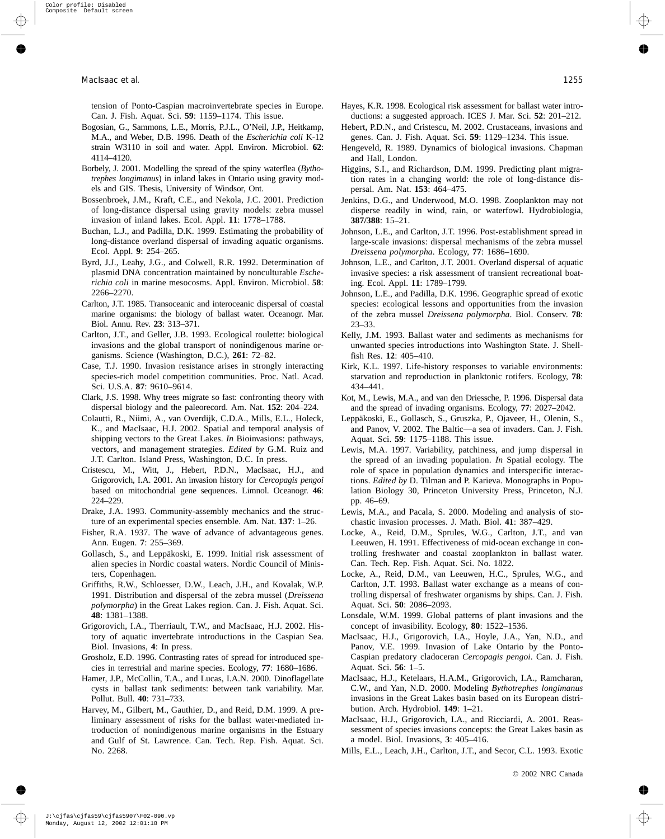tension of Ponto-Caspian macroinvertebrate species in Europe. Can. J. Fish. Aquat. Sci. **59**: 1159–1174. This issue.

- Bogosian, G., Sammons, L.E., Morris, P.J.L., O'Neil, J.P., Heitkamp, M.A., and Weber, D.B. 1996. Death of the *Escherichia coli* K-12 strain W3110 in soil and water. Appl. Environ. Microbiol. **62**: 4114–4120.
- Borbely, J. 2001. Modelling the spread of the spiny waterflea (*Bythotrephes longimanus*) in inland lakes in Ontario using gravity models and GIS. Thesis, University of Windsor, Ont.
- Bossenbroek, J.M., Kraft, C.E., and Nekola, J.C. 2001. Prediction of long-distance dispersal using gravity models: zebra mussel invasion of inland lakes. Ecol. Appl. **11**: 1778–1788.
- Buchan, L.J., and Padilla, D.K. 1999. Estimating the probability of long-distance overland dispersal of invading aquatic organisms. Ecol. Appl. **9**: 254–265.
- Byrd, J.J., Leahy, J.G., and Colwell, R.R. 1992. Determination of plasmid DNA concentration maintained by nonculturable *Escherichia coli* in marine mesocosms. Appl. Environ. Microbiol. **58**: 2266–2270.
- Carlton, J.T. 1985. Transoceanic and interoceanic dispersal of coastal marine organisms: the biology of ballast water. Oceanogr. Mar. Biol. Annu. Rev. **23**: 313–371.
- Carlton, J.T., and Geller, J.B. 1993. Ecological roulette: biological invasions and the global transport of nonindigenous marine organisms. Science (Washington, D.C.), **261**: 72–82.
- Case, T.J. 1990. Invasion resistance arises in strongly interacting species-rich model competition communities. Proc. Natl. Acad. Sci. U.S.A. **87**: 9610–9614.
- Clark, J.S. 1998. Why trees migrate so fast: confronting theory with dispersal biology and the paleorecord. Am. Nat. **152**: 204–224.
- Colautti, R., Niimi, A., van Overdijk, C.D.A., Mills, E.L., Holeck, K., and MacIsaac, H.J. 2002. Spatial and temporal analysis of shipping vectors to the Great Lakes. *In* Bioinvasions: pathways, vectors, and management strategies. *Edited by* G.M. Ruiz and J.T. Carlton. Island Press, Washington, D.C. In press.
- Cristescu, M., Witt, J., Hebert, P.D.N., MacIsaac, H.J., and Grigorovich, I.A. 2001. An invasion history for *Cercopagis pengoi* based on mitochondrial gene sequences. Limnol. Oceanogr. **46**: 224–229.
- Drake, J.A. 1993. Community-assembly mechanics and the structure of an experimental species ensemble. Am. Nat. **137**: 1–26.
- Fisher, R.A. 1937. The wave of advance of advantageous genes. Ann. Eugen. **7**: 255–369.
- Gollasch, S., and Leppäkoski, E. 1999. Initial risk assessment of alien species in Nordic coastal waters. Nordic Council of Ministers, Copenhagen.
- Griffiths, R.W., Schloesser, D.W., Leach, J.H., and Kovalak, W.P. 1991. Distribution and dispersal of the zebra mussel (*Dreissena polymorpha*) in the Great Lakes region. Can. J. Fish. Aquat. Sci. **48**: 1381–1388.
- Grigorovich, I.A., Therriault, T.W., and MacIsaac, H.J. 2002. History of aquatic invertebrate introductions in the Caspian Sea. Biol. Invasions, **4**: In press.
- Grosholz, E.D. 1996. Contrasting rates of spread for introduced species in terrestrial and marine species. Ecology, **77**: 1680–1686.
- Hamer, J.P., McCollin, T.A., and Lucas, I.A.N. 2000. Dinoflagellate cysts in ballast tank sediments: between tank variability. Mar. Pollut. Bull. **40**: 731–733.
- Harvey, M., Gilbert, M., Gauthier, D., and Reid, D.M. 1999. A preliminary assessment of risks for the ballast water-mediated introduction of nonindigenous marine organisms in the Estuary and Gulf of St. Lawrence. Can. Tech. Rep. Fish. Aquat. Sci. No. 2268.
- Hayes, K.R. 1998. Ecological risk assessment for ballast water introductions: a suggested approach. ICES J. Mar. Sci. **52**: 201–212.
- Hebert, P.D.N., and Cristescu, M. 2002. Crustaceans, invasions and genes. Can. J. Fish. Aquat. Sci. **59**: 1129–1234. This issue.
- Hengeveld, R. 1989. Dynamics of biological invasions. Chapman and Hall, London.
- Higgins, S.I., and Richardson, D.M. 1999. Predicting plant migration rates in a changing world: the role of long-distance dispersal. Am. Nat. **153**: 464–475.
- Jenkins, D.G., and Underwood, M.O. 1998. Zooplankton may not disperse readily in wind, rain, or waterfowl. Hydrobiologia, **387/388**: 15–21.
- Johnson, L.E., and Carlton, J.T. 1996. Post-establishment spread in large-scale invasions: dispersal mechanisms of the zebra mussel *Dreissena polymorpha*. Ecology, **77**: 1686–1690.
- Johnson, L.E., and Carlton, J.T. 2001. Overland dispersal of aquatic invasive species: a risk assessment of transient recreational boating. Ecol. Appl. **11**: 1789–1799.
- Johnson, L.E., and Padilla, D.K. 1996. Geographic spread of exotic species: ecological lessons and opportunities from the invasion of the zebra mussel *Dreissena polymorpha*. Biol. Conserv. **78**: 23–33.
- Kelly, J.M. 1993. Ballast water and sediments as mechanisms for unwanted species introductions into Washington State. J. Shellfish Res. **12**: 405–410.
- Kirk, K.L. 1997. Life-history responses to variable environments: starvation and reproduction in planktonic rotifers. Ecology, **78**: 434–441.
- Kot, M., Lewis, M.A., and van den Driessche, P. 1996. Dispersal data and the spread of invading organisms. Ecology, **77**: 2027–2042.
- Leppäkoski, E., Gollasch, S., Gruszka, P., Ojaveer, H., Olenin, S., and Panov, V. 2002. The Baltic—a sea of invaders. Can. J. Fish. Aquat. Sci. **59**: 1175–1188. This issue.
- Lewis, M.A. 1997. Variability, patchiness, and jump dispersal in the spread of an invading population. *In* Spatial ecology. The role of space in population dynamics and interspecific interactions. *Edited by* D. Tilman and P. Karieva. Monographs in Population Biology 30, Princeton University Press, Princeton, N.J. pp. 46–69.
- Lewis, M.A., and Pacala, S. 2000. Modeling and analysis of stochastic invasion processes. J. Math. Biol. **41**: 387–429.
- Locke, A., Reid, D.M., Sprules, W.G., Carlton, J.T., and van Leeuwen, H. 1991. Effectiveness of mid-ocean exchange in controlling freshwater and coastal zooplankton in ballast water. Can. Tech. Rep. Fish. Aquat. Sci. No. 1822.
- Locke, A., Reid, D.M., van Leeuwen, H.C., Sprules, W.G., and Carlton, J.T. 1993. Ballast water exchange as a means of controlling dispersal of freshwater organisms by ships. Can. J. Fish. Aquat. Sci. **50**: 2086–2093.
- Lonsdale, W.M. 1999. Global patterns of plant invasions and the concept of invasibility. Ecology, **80**: 1522–1536.
- MacIsaac, H.J., Grigorovich, I.A., Hoyle, J.A., Yan, N.D., and Panov, V.E. 1999. Invasion of Lake Ontario by the Ponto-Caspian predatory cladoceran *Cercopagis pengoi*. Can. J. Fish. Aquat. Sci. **56**: 1–5.
- MacIsaac, H.J., Ketelaars, H.A.M., Grigorovich, I.A., Ramcharan, C.W., and Yan, N.D. 2000. Modeling *Bythotrephes longimanus* invasions in the Great Lakes basin based on its European distribution. Arch. Hydrobiol. **149**: 1–21.
- MacIsaac, H.J., Grigorovich, I.A., and Ricciardi, A. 2001. Reassessment of species invasions concepts: the Great Lakes basin as a model. Biol. Invasions, **3**: 405–416.
- Mills, E.L., Leach, J.H., Carlton, J.T., and Secor, C.L. 1993. Exotic